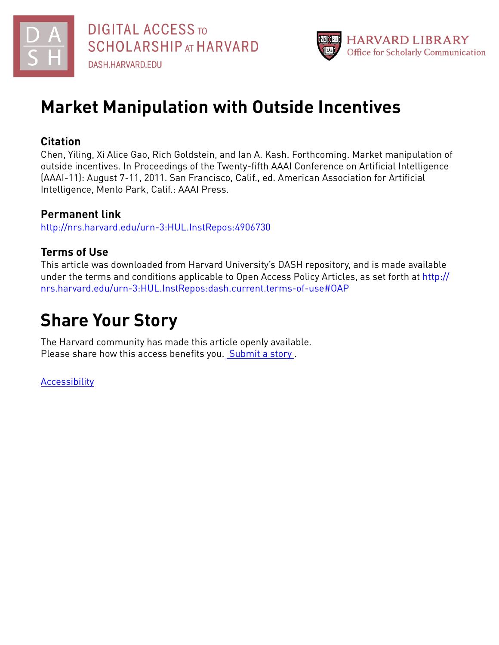

# **Market Manipulation with Outside Incentives**

# **Citation**

Chen, Yiling, Xi Alice Gao, Rich Goldstein, and Ian A. Kash. Forthcoming. Market manipulation of outside incentives. In Proceedings of the Twenty-fifth AAAI Conference on Artificial Intelligence (AAAI-11): August 7-11, 2011. San Francisco, Calif., ed. American Association for Artificial Intelligence, Menlo Park, Calif.: AAAI Press.

# **Permanent link**

<http://nrs.harvard.edu/urn-3:HUL.InstRepos:4906730>

# **Terms of Use**

This article was downloaded from Harvard University's DASH repository, and is made available under the terms and conditions applicable to Open Access Policy Articles, as set forth at [http://](http://nrs.harvard.edu/urn-3:HUL.InstRepos:dash.current.terms-of-use#OAP) [nrs.harvard.edu/urn-3:HUL.InstRepos:dash.current.terms-of-use#OAP](http://nrs.harvard.edu/urn-3:HUL.InstRepos:dash.current.terms-of-use#OAP)

# **Share Your Story**

The Harvard community has made this article openly available. Please share how this access benefits you. [Submit](http://osc.hul.harvard.edu/dash/open-access-feedback?handle=&title=Market%20Manipulation%20with%20Outside%20Incentives&community=1/1&collection=1/2&owningCollection1/2&harvardAuthors=8163de7d1727bd1a0850c7d9a608f710&departmentEngineering%20and%20Applied%20Sciences) a story .

[Accessibility](https://dash.harvard.edu/pages/accessibility)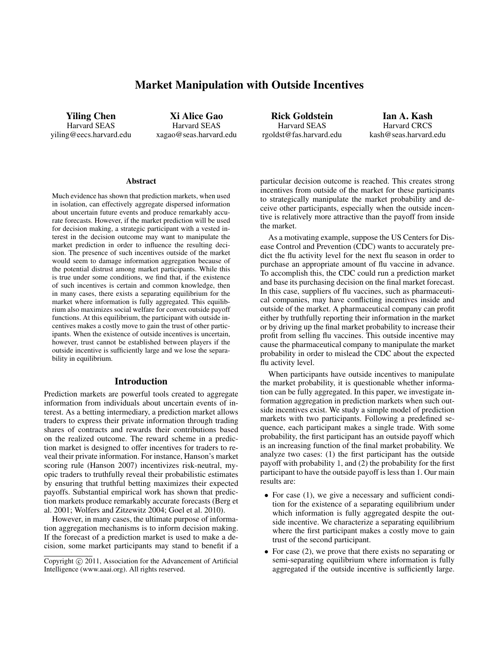# Market Manipulation with Outside Incentives

Yiling Chen Harvard SEAS yiling@eecs.harvard.edu

Xi Alice Gao Harvard SEAS xagao@seas.harvard.edu

Rick Goldstein Harvard SEAS rgoldst@fas.harvard.edu

Ian A. Kash Harvard CRCS kash@seas.harvard.edu

#### **Abstract**

Much evidence has shown that prediction markets, when used in isolation, can effectively aggregate dispersed information about uncertain future events and produce remarkably accurate forecasts. However, if the market prediction will be used for decision making, a strategic participant with a vested interest in the decision outcome may want to manipulate the market prediction in order to influence the resulting decision. The presence of such incentives outside of the market would seem to damage information aggregation because of the potential distrust among market participants. While this is true under some conditions, we find that, if the existence of such incentives is certain and common knowledge, then in many cases, there exists a separating equilibrium for the market where information is fully aggregated. This equilibrium also maximizes social welfare for convex outside payoff functions. At this equilibrium, the participant with outside incentives makes a costly move to gain the trust of other participants. When the existence of outside incentives is uncertain, however, trust cannot be established between players if the outside incentive is sufficiently large and we lose the separability in equilibrium.

#### Introduction

Prediction markets are powerful tools created to aggregate information from individuals about uncertain events of interest. As a betting intermediary, a prediction market allows traders to express their private information through trading shares of contracts and rewards their contributions based on the realized outcome. The reward scheme in a prediction market is designed to offer incentives for traders to reveal their private information. For instance, Hanson's market scoring rule (Hanson 2007) incentivizes risk-neutral, myopic traders to truthfully reveal their probabilistic estimates by ensuring that truthful betting maximizes their expected payoffs. Substantial empirical work has shown that prediction markets produce remarkably accurate forecasts (Berg et al. 2001; Wolfers and Zitzewitz 2004; Goel et al. 2010).

However, in many cases, the ultimate purpose of information aggregation mechanisms is to inform decision making. If the forecast of a prediction market is used to make a decision, some market participants may stand to benefit if a particular decision outcome is reached. This creates strong incentives from outside of the market for these participants to strategically manipulate the market probability and deceive other participants, especially when the outside incentive is relatively more attractive than the payoff from inside the market.

As a motivating example, suppose the US Centers for Disease Control and Prevention (CDC) wants to accurately predict the flu activity level for the next flu season in order to purchase an appropriate amount of flu vaccine in advance. To accomplish this, the CDC could run a prediction market and base its purchasing decision on the final market forecast. In this case, suppliers of flu vaccines, such as pharmaceutical companies, may have conflicting incentives inside and outside of the market. A pharmaceutical company can profit either by truthfully reporting their information in the market or by driving up the final market probability to increase their profit from selling flu vaccines. This outside incentive may cause the pharmaceutical company to manipulate the market probability in order to mislead the CDC about the expected flu activity level.

When participants have outside incentives to manipulate the market probability, it is questionable whether information can be fully aggregated. In this paper, we investigate information aggregation in prediction markets when such outside incentives exist. We study a simple model of prediction markets with two participants. Following a predefined sequence, each participant makes a single trade. With some probability, the first participant has an outside payoff which is an increasing function of the final market probability. We analyze two cases: (1) the first participant has the outside payoff with probability 1, and (2) the probability for the first participant to have the outside payoff is less than 1. Our main results are:

- For case (1), we give a necessary and sufficient condition for the existence of a separating equilibrium under which information is fully aggregated despite the outside incentive. We characterize a separating equilibrium where the first participant makes a costly move to gain trust of the second participant.
- For case (2), we prove that there exists no separating or semi-separating equilibrium where information is fully aggregated if the outside incentive is sufficiently large.

Copyright (c) 2011, Association for the Advancement of Artificial Intelligence (www.aaai.org). All rights reserved.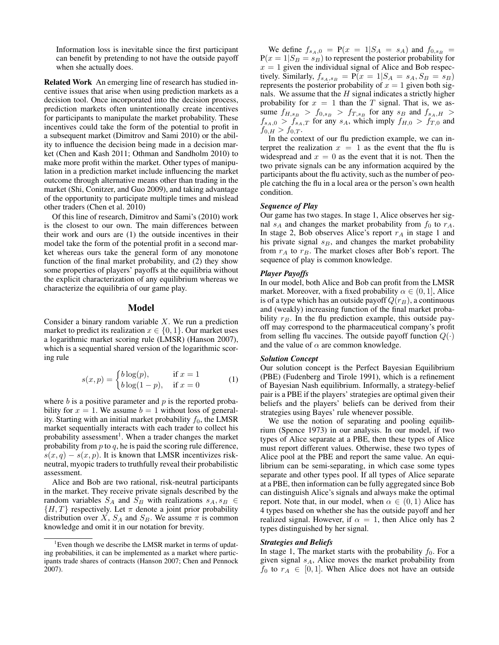Information loss is inevitable since the first participant can benefit by pretending to not have the outside payoff when she actually does.

Related Work An emerging line of research has studied incentive issues that arise when using prediction markets as a decision tool. Once incorporated into the decision process, prediction markets often unintentionally create incentives for participants to manipulate the market probability. These incentives could take the form of the potential to profit in a subsequent market (Dimitrov and Sami 2010) or the ability to influence the decision being made in a decision market (Chen and Kash 2011; Othman and Sandholm 2010) to make more profit within the market. Other types of manipulation in a prediction market include influencing the market outcome through alternative means other than trading in the market (Shi, Conitzer, and Guo 2009), and taking advantage of the opportunity to participate multiple times and mislead other traders (Chen et al. 2010)

Of this line of research, Dimitrov and Sami's (2010) work is the closest to our own. The main differences between their work and ours are (1) the outside incentives in their model take the form of the potential profit in a second market whereas ours take the general form of any monotone function of the final market probability, and (2) they show some properties of players' payoffs at the equilibria without the explicit characterization of any equilibrium whereas we characterize the equilibria of our game play.

# Model

Consider a binary random variable  $X$ . We run a prediction market to predict its realization  $x \in \{0, 1\}$ . Our market uses a logarithmic market scoring rule (LMSR) (Hanson 2007), which is a sequential shared version of the logarithmic scoring rule

$$
s(x,p) = \begin{cases} b \log(p), & \text{if } x = 1\\ b \log(1-p), & \text{if } x = 0 \end{cases}
$$
 (1)

where  $b$  is a positive parameter and  $p$  is the reported probability for  $x = 1$ . We assume  $b = 1$  without loss of generality. Starting with an initial market probability  $f_0$ , the LMSR market sequentially interacts with each trader to collect his probability assessment<sup>1</sup>. When a trader changes the market probability from  $p$  to  $q$ , he is paid the scoring rule difference,  $s(x, q) - s(x, p)$ . It is known that LMSR incentivizes riskneutral, myopic traders to truthfully reveal their probabilistic assessment.

Alice and Bob are two rational, risk-neutral participants in the market. They receive private signals described by the random variables  $S_A$  and  $S_B$  with realizations  $s_A, s_B \in$  $\{H, T\}$  respectively. Let  $\pi$  denote a joint prior probability distribution over X,  $S_A$  and  $S_B$ . We assume  $\pi$  is common knowledge and omit it in our notation for brevity.

We define  $f_{s_A,0} = P(x = 1|S_A = s_A)$  and  $f_{0,s_B} =$  $P(x = 1|S_B = s_B)$  to represent the posterior probability for  $x = 1$  given the individual signal of Alice and Bob respectively. Similarly,  $f_{s_A,s_B} = P(x = 1|S_A = s_A, S_B = s_B)$ represents the posterior probability of  $x = 1$  given both signals. We assume that the  $H$  signal indicates a strictly higher probability for  $x = 1$  than the T signal. That is, we assume  $f_{H,s_B}$  >  $f_{0,s_B}$  >  $f_{T,s_B}$  for any  $s_B$  and  $f_{s_A,H}$  >  $f_{s_A,0} > f_{s_A,T}$  for any  $s_A$ , which imply  $f_{H,0} > f_{T,0}$  and  $f_{0,H} > f_{0,T}.$ 

In the context of our flu prediction example, we can interpret the realization  $x = 1$  as the event that the flu is widespread and  $x = 0$  as the event that it is not. Then the two private signals can be any information acquired by the participants about the flu activity, such as the number of people catching the flu in a local area or the person's own health condition.

# *Sequence of Play*

Our game has two stages. In stage 1, Alice observes her signal  $s_A$  and changes the market probability from  $f_0$  to  $r_A$ . In stage 2, Bob observes Alice's report  $r_A$  in stage 1 and his private signal  $s_B$ , and changes the market probability from  $r_A$  to  $r_B$ . The market closes after Bob's report. The sequence of play is common knowledge.

# *Player Payoffs*

In our model, both Alice and Bob can profit from the LMSR market. Moreover, with a fixed probability  $\alpha \in (0, 1]$ , Alice is of a type which has an outside payoff  $Q(r_B)$ , a continuous and (weakly) increasing function of the final market probability  $r_B$ . In the flu prediction example, this outside payoff may correspond to the pharmaceutical company's profit from selling flu vaccines. The outside payoff function  $Q(\cdot)$ and the value of  $\alpha$  are common knowledge.

# *Solution Concept*

Our solution concept is the Perfect Bayesian Equilibrium (PBE) (Fudenberg and Tirole 1991), which is a refinement of Bayesian Nash equilibrium. Informally, a strategy-belief pair is a PBE if the players' strategies are optimal given their beliefs and the players' beliefs can be derived from their strategies using Bayes' rule whenever possible.

We use the notion of separating and pooling equilibrium (Spence 1973) in our analysis. In our model, if two types of Alice separate at a PBE, then these types of Alice must report different values. Otherwise, these two types of Alice pool at the PBE and report the same value. An equilibrium can be semi-separating, in which case some types separate and other types pool. If all types of Alice separate at a PBE, then information can be fully aggregated since Bob can distinguish Alice's signals and always make the optimal report. Note that, in our model, when  $\alpha \in (0,1)$  Alice has 4 types based on whether she has the outside payoff and her realized signal. However, if  $\alpha = 1$ , then Alice only has 2 types distinguished by her signal.

#### *Strategies and Beliefs*

In stage 1, The market starts with the probability  $f_0$ . For a given signal  $s_A$ , Alice moves the market probability from  $f_0$  to  $r_A \in [0, 1]$ . When Alice does not have an outside

<sup>&</sup>lt;sup>1</sup>Even though we describe the LMSR market in terms of updating probabilities, it can be implemented as a market where participants trade shares of contracts (Hanson 2007; Chen and Pennock 2007).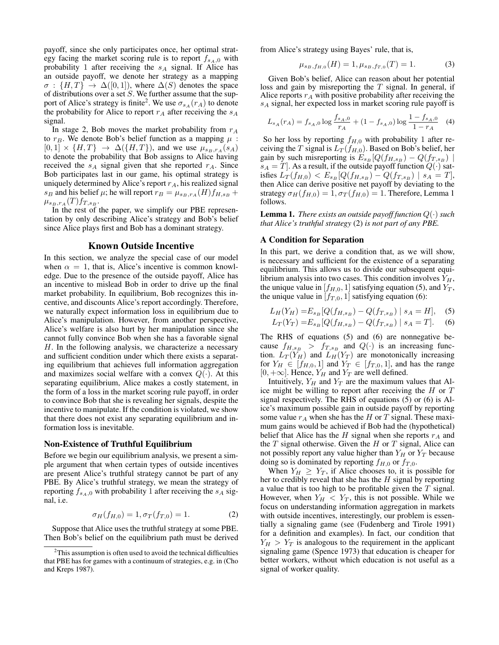payoff, since she only participates once, her optimal strategy facing the market scoring rule is to report  $f_{sA,0}$  with probability 1 after receiving the  $s_A$  signal. If Alice has an outside payoff, we denote her strategy as a mapping  $\sigma : \{H, T\} \rightarrow \Delta([0, 1]),$  where  $\Delta(S)$  denotes the space of distributions over a set  $S$ . We further assume that the support of Alice's strategy is finite<sup>2</sup>. We use  $\sigma_{s_A}(r_A)$  to denote the probability for Alice to report  $r_A$  after receiving the  $s_A$ signal.

In stage 2, Bob moves the market probability from  $r_A$ to  $r_B$ . We denote Bob's belief function as a mapping  $\mu$ :  $[0, 1] \times \{H, T\} \rightarrow \Delta(\{H, T\})$ , and we use  $\mu_{s_B, r_A}(s_A)$ to denote the probability that Bob assigns to Alice having received the  $s_A$  signal given that she reported  $r_A$ . Since Bob participates last in our game, his optimal strategy is uniquely determined by Alice's report  $r_A$ , his realized signal  $s_B$  and his belief  $\mu$ ; he will report  $r_B = \mu_{s_B,r_A}(H)f_{H,s_B} +$  $\mu_{s_B,r_A}(T) f_{T,s_B}$ .

In the rest of the paper, we simplify our PBE representation by only describing Alice's strategy and Bob's belief since Alice plays first and Bob has a dominant strategy.

## Known Outside Incentive

In this section, we analyze the special case of our model when  $\alpha = 1$ , that is, Alice's incentive is common knowledge. Due to the presence of the outside payoff, Alice has an incentive to mislead Bob in order to drive up the final market probability. In equilibrium, Bob recognizes this incentive, and discounts Alice's report accordingly. Therefore, we naturally expect information loss in equilibrium due to Alice's manipulation. However, from another perspective, Alice's welfare is also hurt by her manipulation since she cannot fully convince Bob when she has a favorable signal H. In the following analysis, we characterize a necessary and sufficient condition under which there exists a separating equilibrium that achieves full information aggregation and maximizes social welfare with a convex  $Q(\cdot)$ . At this separating equilibrium, Alice makes a costly statement, in the form of a loss in the market scoring rule payoff, in order to convince Bob that she is revealing her signals, despite the incentive to manipulate. If the condition is violated, we show that there does not exist any separating equilibrium and information loss is inevitable.

#### Non-Existence of Truthful Equilibrium

Before we begin our equilibrium analysis, we present a simple argument that when certain types of outside incentives are present Alice's truthful strategy cannot be part of any PBE. By Alice's truthful strategy, we mean the strategy of reporting  $f_{s_A,0}$  with probability 1 after receiving the  $s_A$  signal, i.e.

$$
\sigma_H(f_{H,0}) = 1, \sigma_T(f_{T,0}) = 1.
$$
 (2)

Suppose that Alice uses the truthful strategy at some PBE. Then Bob's belief on the equilibrium path must be derived from Alice's strategy using Bayes' rule, that is,

$$
\mu_{s_B, f_{H,0}}(H) = 1, \mu_{s_B, f_{T,0}}(T) = 1.
$$
 (3)

Given Bob's belief, Alice can reason about her potential loss and gain by misreporting the T signal. In general, if Alice reports  $r_A$  with positive probability after receiving the  $s_A$  signal, her expected loss in market scoring rule payoff is

$$
L_{s_A}(r_A) = f_{s_A,0} \log \frac{f_{s_A,0}}{r_A} + (1 - f_{s_A,0}) \log \frac{1 - f_{s_A,0}}{1 - r_A} \tag{4}
$$

So her loss by reporting  $f_{H,0}$  with probability 1 after receiving the T signal is  $L_T(f_{H,0})$ . Based on Bob's belief, her gain by such misreporting is  $E_{s_B}[Q(f_{H,s_B}) - Q(f_{T,s_B})]$  $s_A = T$ . As a result, if the outside payoff function  $Q(\cdot)$  satisfies  $L_T(f_{H,0}) < E_{s_B}[Q(f_{H,s_B}) - Q(f_{T,s_B}) \mid s_A = T],$ then Alice can derive positive net payoff by deviating to the strategy  $\sigma_H(f_{H,0}) = 1, \sigma_T(f_{H,0}) = 1$ . Therefore, Lemma 1 follows.

**Lemma 1.** *There exists an outside payoff function*  $Q(\cdot)$  *such that Alice's truthful strategy* (2) *is not part of any PBE.*

## A Condition for Separation

In this part, we derive a condition that, as we will show, is necessary and sufficient for the existence of a separating equilibrium. This allows us to divide our subsequent equilibrium analysis into two cases. This condition involves  $Y_H$ , the unique value in  $[f_{H,0}, 1]$  satisfying equation (5), and  $Y_T$ , the unique value in  $[f_{T,0}, 1]$  satisfying equation (6):

$$
L_H(Y_H) = E_{s_B}[Q(f_{H,s_B}) - Q(f_{T,s_B}) \mid s_A = H], \quad (5)
$$

$$
L_T(Y_T) = E_{s_B}[Q(f_{H,s_B}) - Q(f_{T,s_B}) \mid s_A = T].
$$
 (6)

The RHS of equations (5) and (6) are nonnegative because  $f_{H,s_B} > f_{T,s_B}$  and  $Q(\cdot)$  is an increasing function.  $L_T(Y_H)$  and  $L_H(Y_T)$  are monotonically increasing for  $Y_H \in [f_{H,0}, 1]$  and  $Y_T \in [f_{T,0}, 1]$ , and has the range  $[0, +\infty]$ . Hence,  $Y_H$  and  $Y_T$  are well defined.

Intuitively,  $Y_H$  and  $Y_T$  are the maximum values that Alice might be willing to report after receiving the  $H$  or  $T$ signal respectively. The RHS of equations (5) or (6) is Alice's maximum possible gain in outside payoff by reporting some value  $r_A$  when she has the H or T signal. These maximum gains would be achieved if Bob had the (hypothetical) belief that Alice has the H signal when she reports  $r_A$  and the  $T$  signal otherwise. Given the  $H$  or  $T$  signal, Alice can not possibly report any value higher than  $Y_H$  or  $Y_T$  because doing so is dominated by reporting  $f_{H,0}$  or  $f_{T,0}$ .

When  $Y_H \geq Y_T$ , if Alice chooses to, it is possible for her to credibly reveal that she has the  $H$  signal by reporting a value that is too high to be profitable given the T signal. However, when  $Y_H < Y_T$ , this is not possible. While we focus on understanding information aggregation in markets with outside incentives, interestingly, our problem is essentially a signaling game (see (Fudenberg and Tirole 1991) for a definition and examples). In fact, our condition that  $Y_H > Y_T$  is analogous to the requirement in the applicant signaling game (Spence 1973) that education is cheaper for better workers, without which education is not useful as a signal of worker quality.

 $2$ This assumption is often used to avoid the technical difficulties that PBE has for games with a continuum of strategies, e.g. in (Cho and Kreps 1987).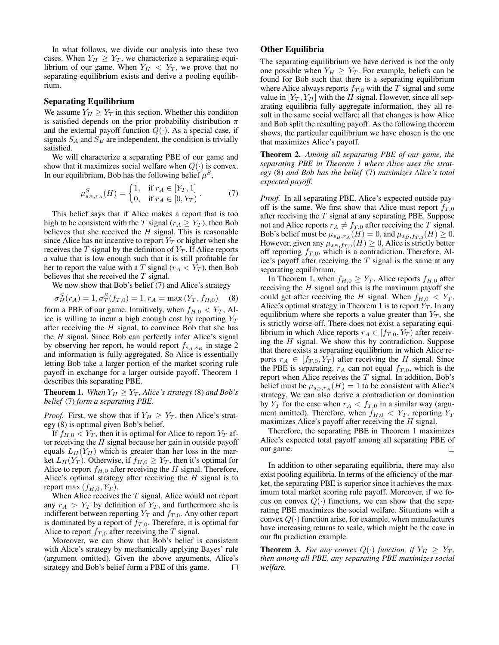In what follows, we divide our analysis into these two cases. When  $Y_H \geq Y_T$ , we characterize a separating equilibrium of our game. When  $Y_H < Y_T$ , we prove that no separating equilibrium exists and derive a pooling equilibrium.

### Separating Equilibrium

We assume  $Y_H \geq Y_T$  in this section. Whether this condition is satisfied depends on the prior probability distribution  $\pi$ and the external payoff function  $Q(\cdot)$ . As a special case, if signals  $S_A$  and  $S_B$  are independent, the condition is trivially satisfied.

We will characterize a separating PBE of our game and show that it maximizes social welfare when  $Q(\cdot)$  is convex. In our equilibrium, Bob has the following belief  $\mu^S$ ,

$$
\mu_{s_B, r_A}^S(H) = \begin{cases} 1, & \text{if } r_A \in [Y_T, 1] \\ 0, & \text{if } r_A \in [0, Y_T) \end{cases} . \tag{7}
$$

This belief says that if Alice makes a report that is too high to be consistent with the T signal ( $r_A \geq Y_T$ ), then Bob believes that she received the  $H$  signal. This is reasonable since Alice has no incentive to report  $Y_T$  or higher when she receives the  $T$  signal by the definition of  $Y_T$ . If Alice reports a value that is low enough such that it is still profitable for her to report the value with a T signal ( $r_A < Y_T$ ), then Bob believes that she received the T signal.

We now show that Bob's belief (7) and Alice's strategy

$$
\sigma_H^S(r_A) = 1, \sigma_T^S(f_{T,0}) = 1, r_A = \max(Y_T, f_{H,0})
$$
 (8)

form a PBE of our game. Intuitively, when  $f_{H,0} < Y_T$ , Alice is willing to incur a high enough cost by reporting  $Y_T$ after receiving the  $H$  signal, to convince Bob that she has the H signal. Since Bob can perfectly infer Alice's signal by observing her report, he would report  $f_{s_A,s_B}$  in stage 2 and information is fully aggregated. So Alice is essentially letting Bob take a larger portion of the market scoring rule payoff in exchange for a larger outside payoff. Theorem 1 describes this separating PBE.

**Theorem 1.** *When*  $Y_H \geq Y_T$ *, Alice's strategy* (8) *and Bob's belief* (7) *form a separating PBE.*

*Proof.* First, we show that if  $Y_H \geq Y_T$ , then Alice's strategy (8) is optimal given Bob's belief.

If  $f_{H,0} < Y_T$ , then it is optimal for Alice to report  $Y_T$  after receiving the  $H$  signal because her gain in outside payoff equals  $L_H(Y_H)$  which is greater than her loss in the market  $L_H(Y_T)$ . Otherwise, if  $f_{H,0} \ge Y_T$ , then it's optimal for Alice to report  $f_{H,0}$  after receiving the H signal. Therefore, Alice's optimal strategy after receiving the  $H$  signal is to report max  $(f_{H,0}, Y_T)$ .

When Alice receives the  $T$  signal, Alice would not report any  $r_A > Y_T$  by definition of  $Y_T$ , and furthermore she is indifferent between reporting  $Y_T$  and  $f_{T,0}$ . Any other report is dominated by a report of  $f_{T,0}$ . Therefore, it is optimal for Alice to report  $f_{T,0}$  after receiving the T signal.

Moreover, we can show that Bob's belief is consistent with Alice's strategy by mechanically applying Bayes' rule (argument omitted). Given the above arguments, Alice's strategy and Bob's belief form a PBE of this game.  $\Box$ 

# Other Equilibria

The separating equilibrium we have derived is not the only one possible when  $Y_H \geq Y_T$ . For example, beliefs can be found for Bob such that there is a separating equilibrium where Alice always reports  $f_{T,0}$  with the T signal and some value in  $[Y_T, Y_H]$  with the H signal. However, since all separating equilibria fully aggregate information, they all result in the same social welfare; all that changes is how Alice and Bob split the resulting payoff. As the following theorem shows, the particular equilibrium we have chosen is the one that maximizes Alice's payoff.

Theorem 2. *Among all separating PBE of our game, the separating PBE in Theorem 1 where Alice uses the strategy* (8) *and Bob has the belief* (7) *maximizes Alice's total expected payoff.*

*Proof.* In all separating PBE, Alice's expected outside payoff is the same. We first show that Alice must report  $f_{T,0}$ after receiving the T signal at any separating PBE. Suppose not and Alice reports  $r_A \neq f_{T,0}$  after receiving the T signal. Bob's belief must be  $\mu_{s_B,r_A}(H) = 0$ , and  $\mu_{s_B,f_{T,0}}(H) \ge 0$ . However, given any  $\mu_{s_B,f_{T,0}}(H) \geq 0$ , Alice is strictly better off reporting  $f_{T,0}$ , which is a contradiction. Therefore, Alice's payoff after receiving the  $T$  signal is the same at any separating equilibrium.

In Theorem 1, when  $f_{H,0} \geq Y_T$ , Alice reports  $f_{H,0}$  after receiving the  $H$  signal and this is the maximum payoff she could get after receiving the H signal. When  $f_{H,0} < Y_T$ , Alice's optimal strategy in Theorem 1 is to report  $Y_T$ . In any equilibrium where she reports a value greater than  $Y_T$ , she is strictly worse off. There does not exist a separating equilibrium in which Alice reports  $r_A \in [f_{T,0}, Y_T)$  after receiving the H signal. We show this by contradiction. Suppose that there exists a separating equilibrium in which Alice reports  $r_A \in [f_{T,0}, Y_T)$  after receiving the H signal. Since the PBE is separating,  $r_A$  can not equal  $f_{T,0}$ , which is the report when Alice receives the  $T$  signal. In addition, Bob's belief must be  $\mu_{s_B,r_A}(H) = 1$  to be consistent with Alice's strategy. We can also derive a contradiction or domination by  $Y_T$  for the case when  $r_A < f_{T,0}$  in a similar way (argument omitted). Therefore, when  $f_{H,0} < Y_T$ , reporting  $Y_T$ maximizes Alice's payoff after receiving the H signal.

Therefore, the separating PBE in Theorem 1 maximizes Alice's expected total payoff among all separating PBE of our game.  $\Box$ 

In addition to other separating equilibria, there may also exist pooling equilibria. In terms of the efficiency of the market, the separating PBE is superior since it achieves the maximum total market scoring rule payoff. Moreover, if we focus on convex  $Q(\cdot)$  functions, we can show that the separating PBE maximizes the social welfare. Situations with a convex  $Q(\cdot)$  function arise, for example, when manufactures have increasing returns to scale, which might be the case in our flu prediction example.

**Theorem 3.** For any convex  $Q(\cdot)$  function, if  $Y_H \geq Y_T$ , *then among all PBE, any separating PBE maximizes social welfare.*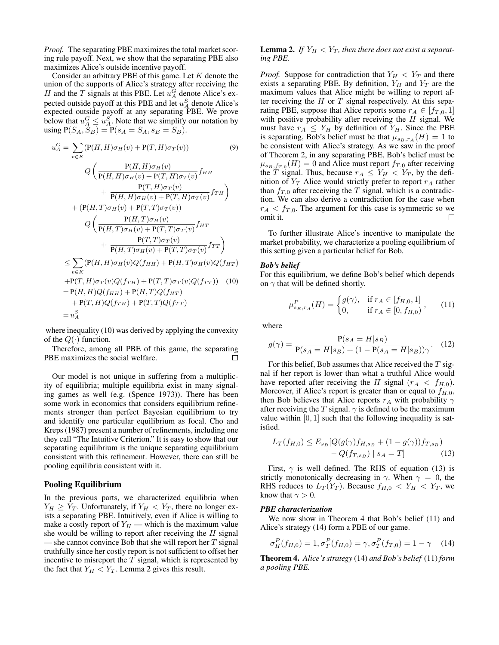*Proof.* The separating PBE maximizes the total market scoring rule payoff. Next, we show that the separating PBE also maximizes Alice's outside incentive payoff.

Consider an arbitrary PBE of this game. Let  $K$  denote the union of the supports of Alice's strategy after receiving the H and the T signals at this PBE. Let  $u_A^G$  denote Alice's expected outside payoff at this PBE and let  $u_A^S$  denote Alice's expected outside payoff at any separating PBE. We prove below that  $u_A^G \leq u_A^S$ . Note that we simplify our notation by using  $P(S_A, \hat{S}_B) = P(s_A = S_A, s_B = S_B).$ 

$$
u_A^G = \sum_{v \in K} (\mathbf{P}(H, H)\sigma_H(v) + \mathbf{P}(T, H)\sigma_T(v))
$$
(9)  

$$
Q\left(\frac{\mathbf{P}(H, H)\sigma_H(v)}{\mathbf{P}(H, H)\sigma_H(v) + \mathbf{P}(T, H)\sigma_T(v)} f_{HH}\right) + \frac{\mathbf{P}(T, H)\sigma_T(v)}{\mathbf{P}(H, H)\sigma_H(v) + \mathbf{P}(T, H)\sigma_T(v)} f_{TH}\right)
$$

$$
+ (\mathbf{P}(H, T)\sigma_H(v) + \mathbf{P}(T, T)\sigma_T(v))
$$

$$
Q\left(\frac{\mathbf{P}(H, T)\sigma_H(v)}{\mathbf{P}(H, T)\sigma_H(v) + \mathbf{P}(T, T)\sigma_T(v)} f_{HT}\right) + \frac{\mathbf{P}(T, T)\sigma_T(v)}{\mathbf{P}(H, T)\sigma_H(v) + \mathbf{P}(T, T)\sigma_T(v)} f_{TT}\right)
$$

$$
\leq \sum_{v \in K} (\mathbf{P}(H, H)\sigma_H(v)Q(f_{HH}) + \mathbf{P}(H, T)\sigma_H(v)Q(f_{HT})
$$

$$
+ \mathbf{P}(T, H)\sigma_T(v)Q(f_{TH}) + \mathbf{P}(T, T)\sigma_T(v)Q(f_{TT}))
$$
(10)
$$
= \mathbf{P}(H, H)Q(f_{HH}) + \mathbf{P}(H, T)Q(f_{HT})
$$

$$
+ \mathbf{P}(T, H)Q(f_{TH}) + \mathbf{P}(T, T)Q(f_{TT})
$$

$$
= u_A^S
$$

where inequality (10) was derived by applying the convexity of the  $Q(\cdot)$  function.

Therefore, among all PBE of this game, the separating PBE maximizes the social welfare. П

Our model is not unique in suffering from a multiplicity of equilibria; multiple equilibria exist in many signaling games as well (e.g. (Spence 1973)). There has been some work in economics that considers equilibrium refinements stronger than perfect Bayesian equilibrium to try and identify one particular equilibrium as focal. Cho and Kreps (1987) present a number of refinements, including one they call "The Intuitive Criterion." It is easy to show that our separating equilibrium is the unique separating equilibrium consistent with this refinement. However, there can still be pooling equilibria consistent with it.

## Pooling Equilibrium

In the previous parts, we characterized equilibria when  $Y_H \geq Y_T$ . Unfortunately, if  $Y_H < Y_T$ , there no longer exists a separating PBE. Intuitively, even if Alice is willing to make a costly report of  $Y_H$  — which is the maximum value she would be willing to report after receiving the  $H$  signal — she cannot convince Bob that she will report her  $T$  signal truthfully since her costly report is not sufficient to offset her incentive to misreport the  $T$  signal, which is represented by the fact that  $Y_H < Y_T$ . Lemma 2 gives this result.

# **Lemma 2.** If  $Y_H < Y_T$ , then there does not exist a separat*ing PBE.*

*Proof.* Suppose for contradiction that  $Y_H < Y_T$  and there exists a separating PBE. By definition,  $Y_H$  and  $Y_T$  are the maximum values that Alice might be willing to report after receiving the  $H$  or  $T$  signal respectively. At this separating PBE, suppose that Alice reports some  $r_A \in [f_{T,0}, 1]$ with positive probability after receiving the  $H$  signal. We must have  $r_A \leq Y_H$  by definition of  $Y_H$ . Since the PBE is separating, Bob's belief must be that  $\mu_{s_B,r_A}(H) = 1$  to be consistent with Alice's strategy. As we saw in the proof of Theorem 2, in any separating PBE, Bob's belief must be  $\mu_{s_B,f_{T,0}}(H) = 0$  and Alice must report  $f_{T,0}$  after receiving the T signal. Thus, because  $r_A \leq Y_H < Y_T$ , by the definition of  $Y_T$  Alice would strictly prefer to report  $r_A$  rather than  $f_{T,0}$  after receiving the T signal, which is a contradiction. We can also derive a contradiction for the case when  $r_A < f_{T,0}$ . The argument for this case is symmetric so we omit it. П

To further illustrate Alice's incentive to manipulate the market probability, we characterize a pooling equilibrium of this setting given a particular belief for Bob.

#### *Bob's belief*

For this equilibrium, we define Bob's belief which depends on  $\gamma$  that will be defined shortly.

$$
\mu_{s_B, r_A}^P(H) = \begin{cases} g(\gamma), & \text{if } r_A \in [f_{H,0}, 1] \\ 0, & \text{if } r_A \in [0, f_{H,0}) \end{cases}, \qquad (11)
$$

where

$$
g(\gamma) = \frac{P(s_A = H|s_B)}{P(s_A = H|s_B) + (1 - P(s_A = H|s_B))\gamma}.
$$
 (12)

For this belief, Bob assumes that Alice received the  $T$  signal if her report is lower than what a truthful Alice would have reported after receiving the H signal  $(r_A < f_{H,0})$ . Moreover, if Alice's report is greater than or equal to  $f_{H,0}$ , then Bob believes that Alice reports  $r_A$  with probability  $\gamma$ after receiving the T signal.  $\gamma$  is defined to be the maximum value within  $[0, 1]$  such that the following inequality is satisfied.

$$
L_T(f_{H,0}) \le E_{s_B}[Q(g(\gamma)f_{H,s_B} + (1 - g(\gamma))f_{T,s_B}) - Q(f_{T,s_B}) | s_A = T]
$$
(13)

First,  $\gamma$  is well defined. The RHS of equation (13) is strictly monotonically decreasing in  $\gamma$ . When  $\gamma = 0$ , the RHS reduces to  $L_T(Y_T)$ . Because  $f_{H,0} < Y_H < Y_T$ , we know that  $\gamma > 0$ .

#### *PBE characterization*

We now show in Theorem 4 that Bob's belief (11) and Alice's strategy (14) form a PBE of our game.

$$
\sigma_H^P(f_{H,0}) = 1, \sigma_T^P(f_{H,0}) = \gamma, \sigma_T^P(f_{T,0}) = 1 - \gamma \quad (14)
$$

Theorem 4. *Alice's strategy* (14) *and Bob's belief* (11) *form a pooling PBE.*